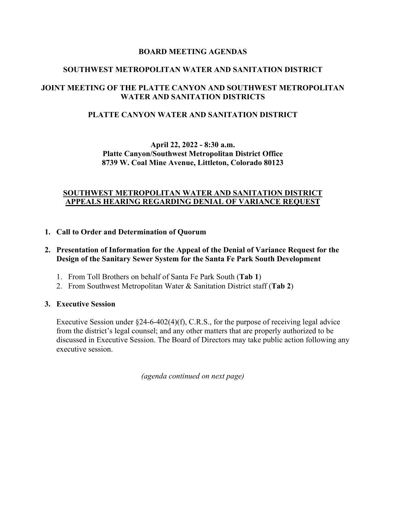## **BOARD MEETING AGENDAS**

## **SOUTHWEST METROPOLITAN WATER AND SANITATION DISTRICT**

## **JOINT MEETING OF THE PLATTE CANYON AND SOUTHWEST METROPOLITAN WATER AND SANITATION DISTRICTS**

## **PLATTE CANYON WATER AND SANITATION DISTRICT**

## **April 22, 2022 - 8:30 a.m. Platte Canyon/Southwest Metropolitan District Office 8739 W. Coal Mine Avenue, Littleton, Colorado 80123**

## **SOUTHWEST METROPOLITAN WATER AND SANITATION DISTRICT APPEALS HEARING REGARDING DENIAL OF VARIANCE REQUEST**

### **1. Call to Order and Determination of Quorum**

### **2. Presentation of Information for the Appeal of the Denial of Variance Request for the Design of the Sanitary Sewer System for the Santa Fe Park South Development**

- 1. From Toll Brothers on behalf of Santa Fe Park South (**Tab 1**)
- 2. From Southwest Metropolitan Water & Sanitation District staff (**Tab 2**)

### **3. Executive Session**

Executive Session under  $\S$ 24-6-402(4)(f), C.R.S., for the purpose of receiving legal advice from the district's legal counsel; and any other matters that are properly authorized to be discussed in Executive Session. The Board of Directors may take public action following any executive session.

*(agenda continued on next page)*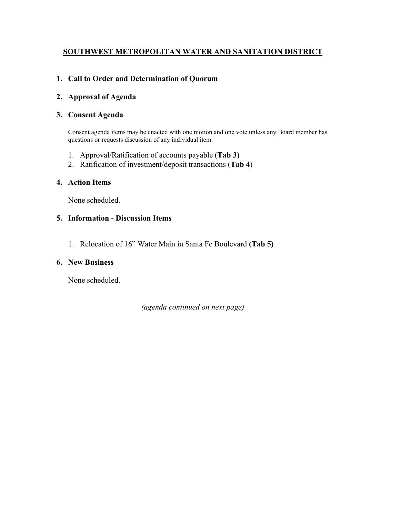# **SOUTHWEST METROPOLITAN WATER AND SANITATION DISTRICT**

# **1. Call to Order and Determination of Quorum**

## **2. Approval of Agenda**

## **3. Consent Agenda**

Consent agenda items may be enacted with one motion and one vote unless any Board member has questions or requests discussion of any individual item.

- 1. Approval/Ratification of accounts payable (**Tab 3**)
- 2. Ratification of investment/deposit transactions (**Tab 4**)

### **4. Action Items**

None scheduled.

### **5. Information - Discussion Items**

1. Relocation of 16" Water Main in Santa Fe Boulevard **(Tab 5)**

## **6. New Business**

None scheduled.

*(agenda continued on next page)*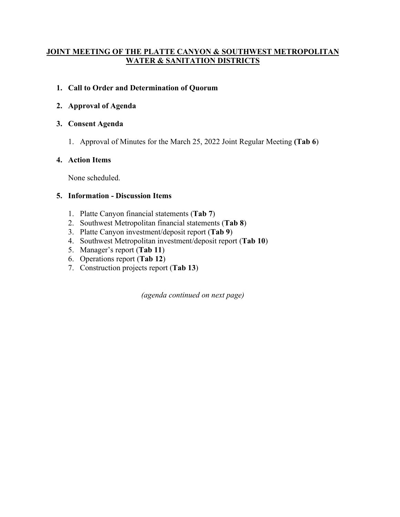# **JOINT MEETING OF THE PLATTE CANYON & SOUTHWEST METROPOLITAN WATER & SANITATION DISTRICTS**

# **1. Call to Order and Determination of Quorum**

# **2. Approval of Agenda**

# **3. Consent Agenda**

1. Approval of Minutes for the March 25, 2022 Joint Regular Meeting **(Tab 6**)

# **4. Action Items**

None scheduled.

## **5. Information - Discussion Items**

- 1. Platte Canyon financial statements (**Tab 7**)
- 2. Southwest Metropolitan financial statements (**Tab 8**)
- 3. Platte Canyon investment/deposit report (**Tab 9**)
- 4. Southwest Metropolitan investment/deposit report (**Tab 10**)
- 5. Manager's report (**Tab 11**)
- 6. Operations report (**Tab 12**)
- 7. Construction projects report (**Tab 13**)

*(agenda continued on next page)*